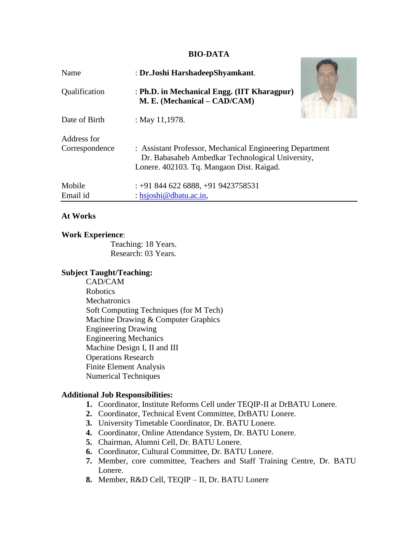#### **BIO-DATA**

**CONTRACTOR** 

| Name                          | : Dr.Joshi HarshadeepShyamkant.                                                                                                                           |
|-------------------------------|-----------------------------------------------------------------------------------------------------------------------------------------------------------|
| Qualification                 | : Ph.D. in Mechanical Engg. (IIT Kharagpur)<br>M. E. (Mechanical – CAD/CAM)                                                                               |
| Date of Birth                 | : May 11,1978.                                                                                                                                            |
| Address for<br>Correspondence | : Assistant Professor, Mechanical Engineering Department<br>Dr. Babasaheb Ambedkar Technological University,<br>Lonere. 402103. Tq. Mangaon Dist. Raigad. |
| Mobile<br>Email id            | $\div$ +91 844 622 6888, +91 9423758531<br>: hsjoshi@dbatu.ac.in,                                                                                         |

#### **At Works**

#### **Work Experience**:

Teaching: 18 Years. Research: 03 Years.

## **Subject Taught/Teaching:**

CAD/CAM Robotics **Mechatronics** Soft Computing Techniques (for M Tech) Machine Drawing & Computer Graphics Engineering Drawing Engineering Mechanics Machine Design I, II and III Operations Research Finite Element Analysis Numerical Techniques

## **Additional Job Responsibilities:**

- **1.** Coordinator, Institute Reforms Cell under TEQIP-II at DrBATU Lonere.
- **2.** Coordinator, Technical Event Committee, DrBATU Lonere.
- **3.** University Timetable Coordinator, Dr. BATU Lonere.
- **4.** Coordinator, Online Attendance System, Dr. BATU Lonere.
- **5.** Chairman, Alumni Cell, Dr. BATU Lonere.
- **6.** Coordinator, Cultural Committee, Dr. BATU Lonere.
- **7.** Member, core committee, Teachers and Staff Training Centre, Dr. BATU Lonere.
- **8.** Member, R&D Cell, TEQIP II, Dr. BATU Lonere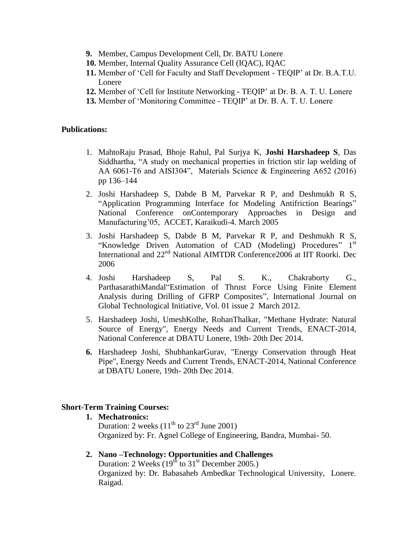- **9.** Member, Campus Development Cell, Dr. BATU Lonere
- **10.** Member, Internal Quality Assurance Cell (IQAC), IQAC
- **11.** Member of "Cell for Faculty and Staff Development TEQIP" at Dr. B.A.T.U. Lonere
- **12.** Member of "Cell for Institute Networking TEQIP" at Dr. B. A. T. U. Lonere
- **13.** Member of "Monitoring Committee TEQIP" at Dr. B. A. T. U. Lonere

#### **Publications:**

- 1. MahtoRaju Prasad, Bhoje Rahul, Pal Surjya K, **Joshi Harshadeep S**, Das Siddhartha, "A study on mechanical properties in friction stir lap welding of AA 6061-T6 and AISI304", Materials Science & Engineering A652 (2016) pp 136–144
- 2. Joshi Harshadeep S, Dabde B M, Parvekar R P, and Deshmukh R S, "Application Programming Interface for Modeling Antifriction Bearings" National Conference onContemporary Approaches in Design and Manufacturing"05, ACCET, Karaikudi-4. March 2005
- 3. Joshi Harshadeep S, Dabde B M, Parvekar R P, and Deshmukh R S, "Knowledge Driven Automation of CAD (Modeling) Procedures" 1<sup>st</sup> International and 22nd National AIMTDR Conference2006 at IIT Roorki. Dec 2006
- 4. Joshi Harshadeep S, Pal S. K., Chakraborty G., ParthasarathiMandal"Estimation of Thrust Force Using Finite Element Analysis during Drilling of GFRP Composites", International Journal on Global Technological Initiative, Vol. 01 issue 2 March 2012.
- 5. Harshadeep Joshi, UmeshKolhe, RohanThalkar, "Methane Hydrate: Natural Source of Energy", Energy Needs and Current Trends, ENACT-2014, National Conference at DBATU Lonere, 19th- 20th Dec 2014.
- **6.** Harshadeep Joshi, ShubhankarGurav, "Energy Conservation through Heat Pipe", Energy Needs and Current Trends, ENACT-2014, National Conference at DBATU Lonere, 19th- 20th Dec 2014.

## **Short-Term Training Courses:**

**1. Mechatronics:** Duration: 2 weeks  $(11<sup>th</sup>$  to  $23<sup>rd</sup>$  June 2001) Organized by: Fr. Agnel College of Engineering, Bandra, Mumbai- 50.

## **2. Nano –Technology: Opportunities and Challenges**

Duration: 2 Weeks  $(19^{th}$  to  $31^{st}$  December 2005.) Organized by: Dr. Babasaheb Ambedkar Technological University, Lonere. Raigad.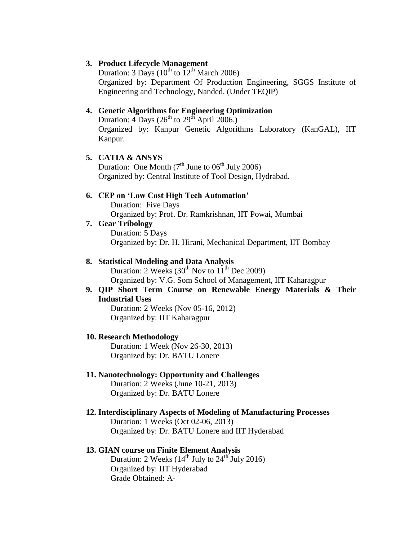#### **3. Product Lifecycle Management**

Duration: 3 Days ( $10^{th}$  to  $12^{th}$  March 2006) Organized by: Department Of Production Engineering, SGGS Institute of Engineering and Technology, Nanded. (Under TEQIP)

#### **4. Genetic Algorithms for Engineering Optimization**

Duration:  $4$  Days ( $26^{th}$  to  $29^{th}$  April  $2006$ .) Organized by: Kanpur Genetic Algorithms Laboratory (KanGAL), IIT Kanpur.

## **5. CATIA & ANSYS**

Duration: One Month  $(7<sup>th</sup>$  June to  $06<sup>th</sup>$  July 2006) Organized by: Central Institute of Tool Design, Hydrabad.

# **6. CEP on 'Low Cost High Tech Automation'**

Duration: Five Days Organized by: Prof. Dr. Ramkrishnan, IIT Powai, Mumbai

**7. Gear Tribology** Duration: 5 Days Organized by: Dr. H. Hirani, Mechanical Department, IIT Bombay

#### **8. Statistical Modeling and Data Analysis**

Duration: 2 Weeks  $(30<sup>th</sup>$  Nov to  $11<sup>th</sup>$  Dec 2009) Organized by: V.G. Som School of Management, IIT Kaharagpur

**9. QIP Short Term Course on Renewable Energy Materials & Their Industrial Uses**

Duration: 2 Weeks (Nov 05-16, 2012) Organized by: IIT Kaharagpur

#### **10. Research Methodology**

Duration: 1 Week (Nov 26-30, 2013) Organized by: Dr. BATU Lonere

#### **11. Nanotechnology: Opportunity and Challenges**

Duration: 2 Weeks (June 10-21, 2013) Organized by: Dr. BATU Lonere

#### **12. Interdisciplinary Aspects of Modeling of Manufacturing Processes**

Duration: 1 Weeks (Oct 02-06, 2013) Organized by: Dr. BATU Lonere and IIT Hyderabad

## **13. GIAN course on Finite Element Analysis**

Duration: 2 Weeks  $(14<sup>th</sup>$  July to  $24<sup>th</sup>$  July 2016) Organized by: IIT Hyderabad Grade Obtained: A-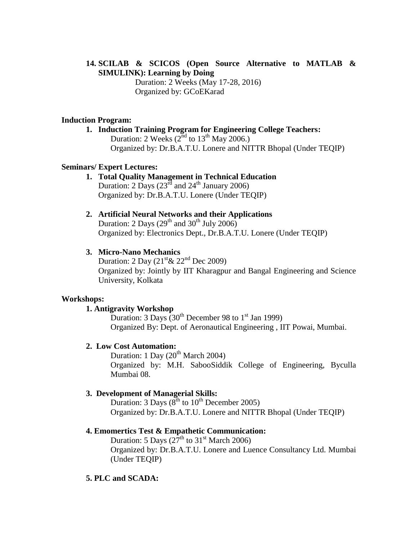# **14. SCILAB & SCICOS (Open Source Alternative to MATLAB & SIMULINK): Learning by Doing**

Duration: 2 Weeks (May 17-28, 2016) Organized by: GCoEKarad

## **Induction Program:**

**1. Induction Training Program for Engineering College Teachers:** Duration: 2 Weeks  $(2<sup>nd</sup>$  to  $13<sup>th</sup>$  May 2006.) Organized by: Dr.B.A.T.U. Lonere and NITTR Bhopal (Under TEQIP)

## **Seminars/ Expert Lectures:**

- **1. Total Quality Management in Technical Education** Duration: 2 Days ( $23<sup>rd</sup>$  and  $24<sup>th</sup>$  January 2006) Organized by: Dr.B.A.T.U. Lonere (Under TEQIP)
- **2. Artificial Neural Networks and their Applications** Duration: 2 Days  $(29<sup>th</sup>$  and  $30<sup>th</sup>$  July 2006) Organized by: Electronics Dept., Dr.B.A.T.U. Lonere (Under TEQIP)

# **3. Micro-Nano Mechanics**

Duration: 2 Day  $(21<sup>st</sup> \& 22<sup>nd</sup>$  Dec 2009) Organized by: Jointly by IIT Kharagpur and Bangal Engineering and Science University, Kolkata

## **Workshops:**

## **1. Antigravity Workshop**

Duration: 3 Days  $(30^{th}$  December 98 to 1<sup>st</sup> Jan 1999) Organized By: Dept. of Aeronautical Engineering , IIT Powai, Mumbai.

## **2. Low Cost Automation:**

Duration: 1 Day  $(20^{th}$  March 2004) Organized by: M.H. SabooSiddik College of Engineering, Byculla Mumbai 08.

## **3. Development of Managerial Skills:**

Duration: 3 Days ( $8^{th}$  to  $10^{th}$  December 2005) Organized by: Dr.B.A.T.U. Lonere and NITTR Bhopal (Under TEQIP)

## **4. Emomertics Test & Empathetic Communication:**

Duration: 5 Days  $(27<sup>th</sup>$  to 31<sup>st</sup> March 2006) Organized by: Dr.B.A.T.U. Lonere and Luence Consultancy Ltd. Mumbai (Under TEQIP)

# **5. PLC and SCADA:**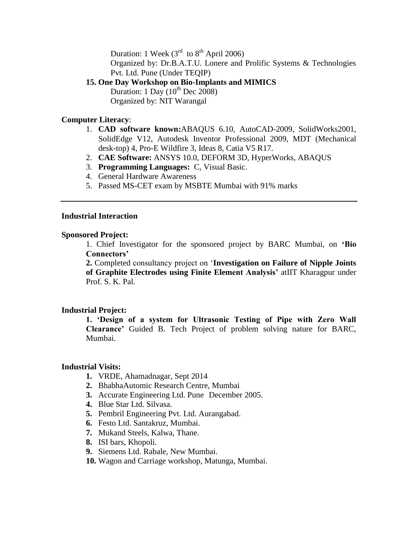Duration: 1 Week  $(3<sup>rd</sup>$  to  $8<sup>th</sup>$  April 2006)

Organized by: Dr.B.A.T.U. Lonere and Prolific Systems & Technologies Pvt. Ltd. Pune (Under TEQIP)

## **15. One Day Workshop on Bio-Implants and MIMICS**

Duration: 1 Day  $(10^{th}$  Dec 2008) Organized by: NIT Warangal

## **Computer Literacy**:

- 1. **CAD software known:**ABAQUS 6.10, AutoCAD-2009, SolidWorks2001, SolidEdge V12, Autodesk Inventor Professional 2009, MDT (Mechanical desk-top) 4, Pro-E Wildfire 3, Ideas 8, Catia V5 R17.
- 2. **CAE Software:** ANSYS 10.0, DEFORM 3D, HyperWorks, ABAQUS
- 3. **Programming Languages:** C, Visual Basic.
- 4. General Hardware Awareness
- 5. Passed MS-CET exam by MSBTE Mumbai with 91% marks

## **Industrial Interaction**

#### **Sponsored Project:**

1. Chief Investigator for the sponsored project by BARC Mumbai, on **'Bio Connectors'**

**2.** Completed consultancy project on "**Investigation on Failure of Nipple Joints of Graphite Electrodes using Finite Element Analysis'** atIIT Kharagpur under Prof. S. K. Pal.

## **Industrial Project:**

**1. 'Design of a system for Ultrasonic Testing of Pipe with Zero Wall Clearance'** Guided B. Tech Project of problem solving nature for BARC, Mumbai.

## **Industrial Visits:**

- **1.** VRDE, Ahamadnagar, Sept 2014
- **2.** BhabhaAutomic Research Centre, Mumbai
- **3.** Accurate Engineering Ltd. Pune December 2005.
- **4.** Blue Star Ltd. Silvasa.
- **5.** Pembril Engineering Pvt. Ltd. Aurangabad.
- **6.** Festo Ltd. Santakruz, Mumbai.
- **7.** Mukand Steels, Kalwa, Thane.
- **8.** ISI bars, Khopoli.
- **9.** Siemens Ltd. Rabale, New Mumbai.
- **10.** Wagon and Carriage workshop, Matunga, Mumbai.